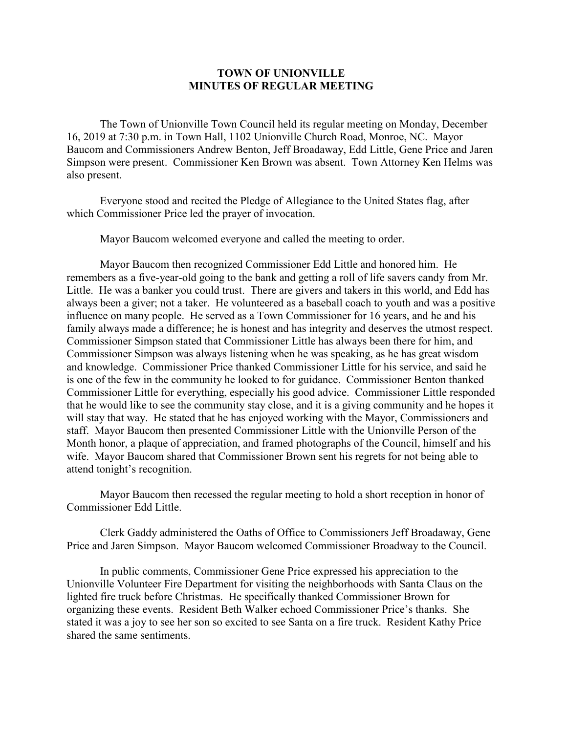## **TOWN OF UNIONVILLE MINUTES OF REGULAR MEETING**

The Town of Unionville Town Council held its regular meeting on Monday, December 16, 2019 at 7:30 p.m. in Town Hall, 1102 Unionville Church Road, Monroe, NC. Mayor Baucom and Commissioners Andrew Benton, Jeff Broadaway, Edd Little, Gene Price and Jaren Simpson were present. Commissioner Ken Brown was absent. Town Attorney Ken Helms was also present.

Everyone stood and recited the Pledge of Allegiance to the United States flag, after which Commissioner Price led the prayer of invocation.

Mayor Baucom welcomed everyone and called the meeting to order.

Mayor Baucom then recognized Commissioner Edd Little and honored him. He remembers as a five-year-old going to the bank and getting a roll of life savers candy from Mr. Little. He was a banker you could trust. There are givers and takers in this world, and Edd has always been a giver; not a taker. He volunteered as a baseball coach to youth and was a positive influence on many people. He served as a Town Commissioner for 16 years, and he and his family always made a difference; he is honest and has integrity and deserves the utmost respect. Commissioner Simpson stated that Commissioner Little has always been there for him, and Commissioner Simpson was always listening when he was speaking, as he has great wisdom and knowledge. Commissioner Price thanked Commissioner Little for his service, and said he is one of the few in the community he looked to for guidance. Commissioner Benton thanked Commissioner Little for everything, especially his good advice. Commissioner Little responded that he would like to see the community stay close, and it is a giving community and he hopes it will stay that way. He stated that he has enjoyed working with the Mayor, Commissioners and staff. Mayor Baucom then presented Commissioner Little with the Unionville Person of the Month honor, a plaque of appreciation, and framed photographs of the Council, himself and his wife. Mayor Baucom shared that Commissioner Brown sent his regrets for not being able to attend tonight's recognition.

Mayor Baucom then recessed the regular meeting to hold a short reception in honor of Commissioner Edd Little.

Clerk Gaddy administered the Oaths of Office to Commissioners Jeff Broadaway, Gene Price and Jaren Simpson. Mayor Baucom welcomed Commissioner Broadway to the Council.

In public comments, Commissioner Gene Price expressed his appreciation to the Unionville Volunteer Fire Department for visiting the neighborhoods with Santa Claus on the lighted fire truck before Christmas. He specifically thanked Commissioner Brown for organizing these events. Resident Beth Walker echoed Commissioner Price's thanks. She stated it was a joy to see her son so excited to see Santa on a fire truck. Resident Kathy Price shared the same sentiments.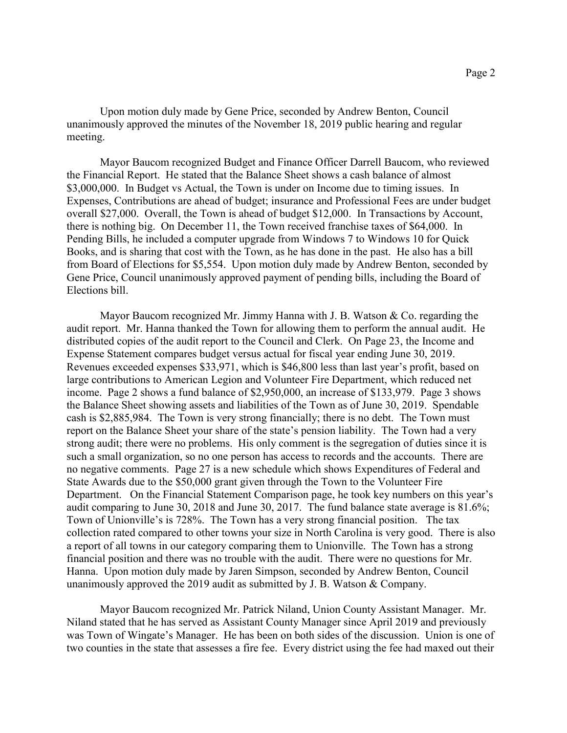Upon motion duly made by Gene Price, seconded by Andrew Benton, Council unanimously approved the minutes of the November 18, 2019 public hearing and regular meeting.

Mayor Baucom recognized Budget and Finance Officer Darrell Baucom, who reviewed the Financial Report. He stated that the Balance Sheet shows a cash balance of almost \$3,000,000. In Budget vs Actual, the Town is under on Income due to timing issues. In Expenses, Contributions are ahead of budget; insurance and Professional Fees are under budget overall \$27,000. Overall, the Town is ahead of budget \$12,000. In Transactions by Account, there is nothing big. On December 11, the Town received franchise taxes of \$64,000. In Pending Bills, he included a computer upgrade from Windows 7 to Windows 10 for Quick Books, and is sharing that cost with the Town, as he has done in the past. He also has a bill from Board of Elections for \$5,554. Upon motion duly made by Andrew Benton, seconded by Gene Price, Council unanimously approved payment of pending bills, including the Board of Elections bill.

Mayor Baucom recognized Mr. Jimmy Hanna with J. B. Watson & Co. regarding the audit report. Mr. Hanna thanked the Town for allowing them to perform the annual audit. He distributed copies of the audit report to the Council and Clerk. On Page 23, the Income and Expense Statement compares budget versus actual for fiscal year ending June 30, 2019. Revenues exceeded expenses \$33,971, which is \$46,800 less than last year's profit, based on large contributions to American Legion and Volunteer Fire Department, which reduced net income. Page 2 shows a fund balance of \$2,950,000, an increase of \$133,979. Page 3 shows the Balance Sheet showing assets and liabilities of the Town as of June 30, 2019. Spendable cash is \$2,885,984. The Town is very strong financially; there is no debt. The Town must report on the Balance Sheet your share of the state's pension liability. The Town had a very strong audit; there were no problems. His only comment is the segregation of duties since it is such a small organization, so no one person has access to records and the accounts. There are no negative comments. Page 27 is a new schedule which shows Expenditures of Federal and State Awards due to the \$50,000 grant given through the Town to the Volunteer Fire Department. On the Financial Statement Comparison page, he took key numbers on this year's audit comparing to June 30, 2018 and June 30, 2017. The fund balance state average is 81.6%; Town of Unionville's is 728%. The Town has a very strong financial position. The tax collection rated compared to other towns your size in North Carolina is very good. There is also a report of all towns in our category comparing them to Unionville. The Town has a strong financial position and there was no trouble with the audit. There were no questions for Mr. Hanna. Upon motion duly made by Jaren Simpson, seconded by Andrew Benton, Council unanimously approved the 2019 audit as submitted by J. B. Watson & Company.

Mayor Baucom recognized Mr. Patrick Niland, Union County Assistant Manager. Mr. Niland stated that he has served as Assistant County Manager since April 2019 and previously was Town of Wingate's Manager. He has been on both sides of the discussion. Union is one of two counties in the state that assesses a fire fee. Every district using the fee had maxed out their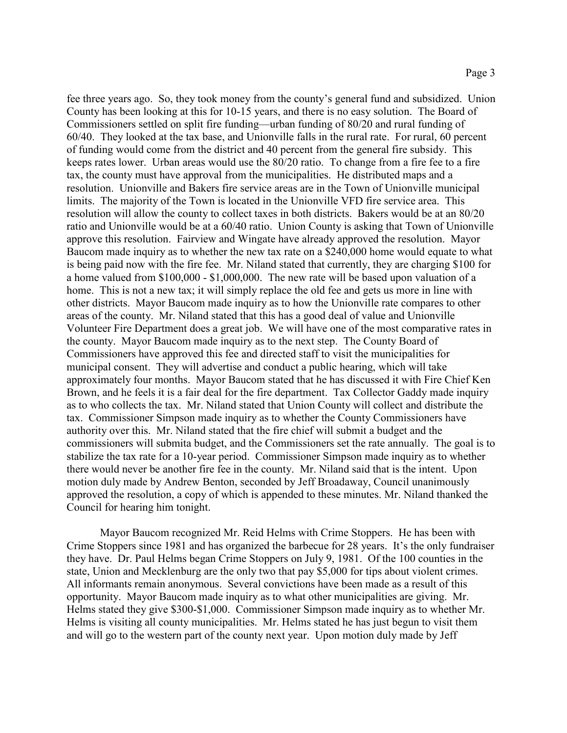fee three years ago. So, they took money from the county's general fund and subsidized. Union County has been looking at this for 10-15 years, and there is no easy solution. The Board of Commissioners settled on split fire funding—urban funding of 80/20 and rural funding of 60/40. They looked at the tax base, and Unionville falls in the rural rate. For rural, 60 percent of funding would come from the district and 40 percent from the general fire subsidy. This keeps rates lower. Urban areas would use the 80/20 ratio. To change from a fire fee to a fire tax, the county must have approval from the municipalities. He distributed maps and a resolution. Unionville and Bakers fire service areas are in the Town of Unionville municipal limits. The majority of the Town is located in the Unionville VFD fire service area. This resolution will allow the county to collect taxes in both districts. Bakers would be at an 80/20 ratio and Unionville would be at a 60/40 ratio. Union County is asking that Town of Unionville approve this resolution. Fairview and Wingate have already approved the resolution. Mayor Baucom made inquiry as to whether the new tax rate on a \$240,000 home would equate to what is being paid now with the fire fee. Mr. Niland stated that currently, they are charging \$100 for a home valued from \$100,000 - \$1,000,000. The new rate will be based upon valuation of a home. This is not a new tax; it will simply replace the old fee and gets us more in line with other districts. Mayor Baucom made inquiry as to how the Unionville rate compares to other areas of the county. Mr. Niland stated that this has a good deal of value and Unionville Volunteer Fire Department does a great job. We will have one of the most comparative rates in the county. Mayor Baucom made inquiry as to the next step. The County Board of Commissioners have approved this fee and directed staff to visit the municipalities for municipal consent. They will advertise and conduct a public hearing, which will take approximately four months. Mayor Baucom stated that he has discussed it with Fire Chief Ken Brown, and he feels it is a fair deal for the fire department. Tax Collector Gaddy made inquiry as to who collects the tax. Mr. Niland stated that Union County will collect and distribute the tax. Commissioner Simpson made inquiry as to whether the County Commissioners have authority over this. Mr. Niland stated that the fire chief will submit a budget and the commissioners will submita budget, and the Commissioners set the rate annually. The goal is to stabilize the tax rate for a 10-year period. Commissioner Simpson made inquiry as to whether there would never be another fire fee in the county. Mr. Niland said that is the intent. Upon motion duly made by Andrew Benton, seconded by Jeff Broadaway, Council unanimously approved the resolution, a copy of which is appended to these minutes. Mr. Niland thanked the Council for hearing him tonight.

Mayor Baucom recognized Mr. Reid Helms with Crime Stoppers. He has been with Crime Stoppers since 1981 and has organized the barbecue for 28 years. It's the only fundraiser they have. Dr. Paul Helms began Crime Stoppers on July 9, 1981. Of the 100 counties in the state, Union and Mecklenburg are the only two that pay \$5,000 for tips about violent crimes. All informants remain anonymous. Several convictions have been made as a result of this opportunity. Mayor Baucom made inquiry as to what other municipalities are giving. Mr. Helms stated they give \$300-\$1,000. Commissioner Simpson made inquiry as to whether Mr. Helms is visiting all county municipalities. Mr. Helms stated he has just begun to visit them and will go to the western part of the county next year. Upon motion duly made by Jeff